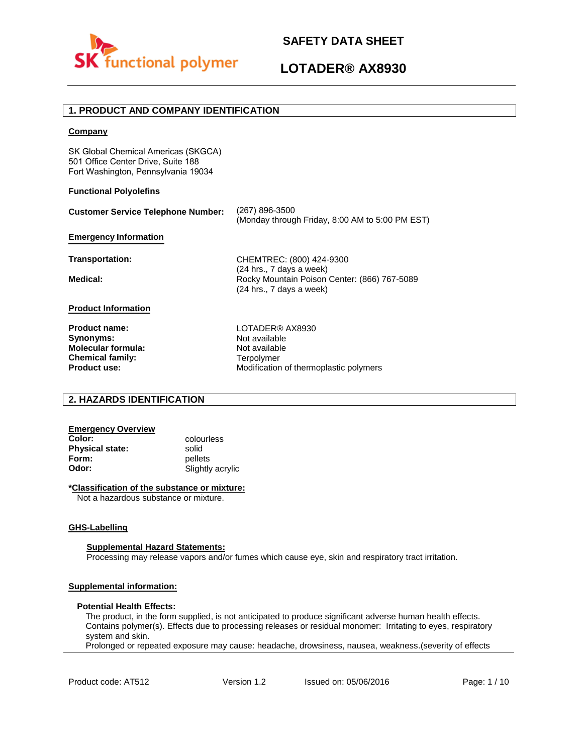



## **LOTADER® AX8930**

## **1. PRODUCT AND COMPANY IDENTIFICATION**

## **Company**

SK Global Chemical Americas (SKGCA) 501 Office Center Drive, Suite 188 Fort Washington, Pennsylvania 19034

## **Functional Polyolefins**

| <b>Customer Service Telephone Number:</b> | (267) 896-3500<br>(Monday through Friday, 8:00 AM to 5:00 PM EST)                                    |
|-------------------------------------------|------------------------------------------------------------------------------------------------------|
| <b>Emergency Information</b>              |                                                                                                      |
| <b>Transportation:</b>                    | CHEMTREC: (800) 424-9300                                                                             |
| <b>Medical:</b>                           | (24 hrs., 7 days a week)<br>Rocky Mountain Poison Center: (866) 767-5089<br>(24 hrs., 7 days a week) |
| <b>Product Information</b>                |                                                                                                      |
| <b>Product name:</b><br>Synonyms:         | LOTADER® AX8930<br>Not available                                                                     |
| Molocular formula:                        | Not ovojloblo                                                                                        |

**Molecular formula: Chemical family: Product use:**

Not available Terpolymer Modification of thermoplastic polymers

## **2. HAZARDS IDENTIFICATION**

## **Emergency Overview**

**Physical state:** solid **Form:** pellets<br> **Odor:** Slightly

**Color:** colourless **Odor:** Slightly acrylic

## **\*Classification of the substance or mixture:**

Not a hazardous substance or mixture.

#### **GHS-Labelling**

#### **Supplemental Hazard Statements:**

Processing may release vapors and/or fumes which cause eye, skin and respiratory tract irritation.

## **Supplemental information:**

#### **Potential Health Effects:**

The product, in the form supplied, is not anticipated to produce significant adverse human health effects. Contains polymer(s). Effects due to processing releases or residual monomer: Irritating to eyes, respiratory system and skin.

Prolonged or repeated exposure may cause: headache, drowsiness, nausea, weakness.(severity of effects

Product code: AT512 Version 1.2 Issued on: 05/06/2016 Page: 1/10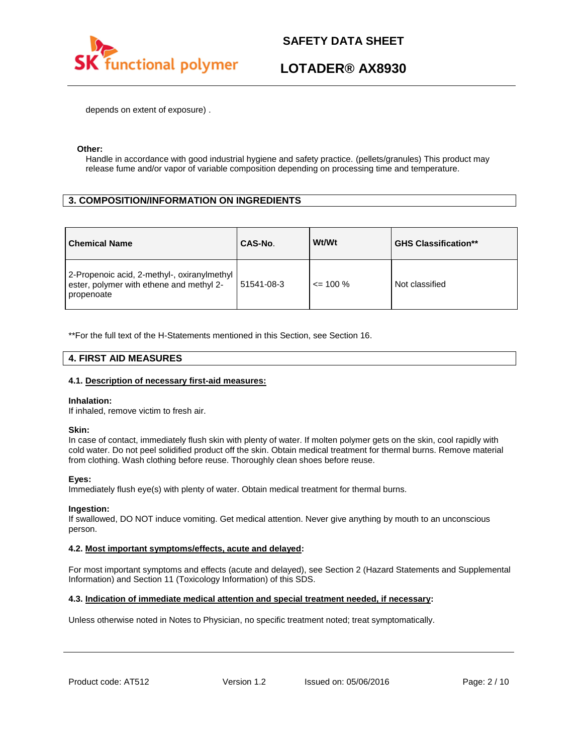

## **LOTADER® AX8930**

depends on extent of exposure) .

## **Other:**

Handle in accordance with good industrial hygiene and safety practice. (pellets/granules) This product may release fume and/or vapor of variable composition depending on processing time and temperature.

## **3. COMPOSITION/INFORMATION ON INGREDIENTS**

| <b>Chemical Name</b>                                                                                  | CAS-No.    | Wt/Wt        | <b>GHS Classification**</b> |
|-------------------------------------------------------------------------------------------------------|------------|--------------|-----------------------------|
| 2-Propenoic acid, 2-methyl-, oxiranylmethyl<br>ester, polymer with ethene and methyl 2-<br>propenoate | 51541-08-3 | $\leq$ 100 % | Not classified              |

\*\*For the full text of the H-Statements mentioned in this Section, see Section 16.

## **4. FIRST AID MEASURES**

## **4.1. Description of necessary first-aid measures:**

## **Inhalation:**

If inhaled, remove victim to fresh air.

#### **Skin:**

In case of contact, immediately flush skin with plenty of water. If molten polymer gets on the skin, cool rapidly with cold water. Do not peel solidified product off the skin. Obtain medical treatment for thermal burns. Remove material from clothing. Wash clothing before reuse. Thoroughly clean shoes before reuse.

## **Eyes:**

Immediately flush eye(s) with plenty of water. Obtain medical treatment for thermal burns.

#### **Ingestion:**

If swallowed, DO NOT induce vomiting. Get medical attention. Never give anything by mouth to an unconscious person.

## **4.2. Most important symptoms/effects, acute and delayed:**

For most important symptoms and effects (acute and delayed), see Section 2 (Hazard Statements and Supplemental Information) and Section 11 (Toxicology Information) of this SDS.

## **4.3. Indication of immediate medical attention and special treatment needed, if necessary:**

Unless otherwise noted in Notes to Physician, no specific treatment noted; treat symptomatically.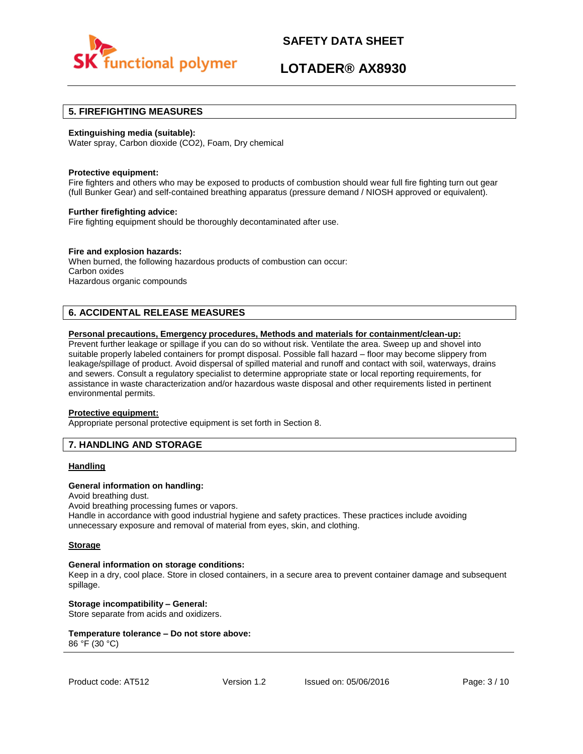

## **LOTADER® AX8930**

## **5. FIREFIGHTING MEASURES**

## **Extinguishing media (suitable):**

Water spray, Carbon dioxide (CO2), Foam, Dry chemical

#### **Protective equipment:**

Fire fighters and others who may be exposed to products of combustion should wear full fire fighting turn out gear (full Bunker Gear) and self-contained breathing apparatus (pressure demand / NIOSH approved or equivalent).

## **Further firefighting advice:**

Fire fighting equipment should be thoroughly decontaminated after use.

## **Fire and explosion hazards:**

When burned, the following hazardous products of combustion can occur: Carbon oxides Hazardous organic compounds

## **6. ACCIDENTAL RELEASE MEASURES**

## **Personal precautions, Emergency procedures, Methods and materials for containment/clean-up:**

Prevent further leakage or spillage if you can do so without risk. Ventilate the area. Sweep up and shovel into suitable properly labeled containers for prompt disposal. Possible fall hazard – floor may become slippery from leakage/spillage of product. Avoid dispersal of spilled material and runoff and contact with soil, waterways, drains and sewers. Consult a regulatory specialist to determine appropriate state or local reporting requirements, for assistance in waste characterization and/or hazardous waste disposal and other requirements listed in pertinent environmental permits.

#### **Protective equipment:**

Appropriate personal protective equipment is set forth in Section 8.

## **7. HANDLING AND STORAGE**

## **Handling**

## **General information on handling:**

Avoid breathing dust.

Avoid breathing processing fumes or vapors. Handle in accordance with good industrial hygiene and safety practices. These practices include avoiding unnecessary exposure and removal of material from eyes, skin, and clothing.

#### **Storage**

## **General information on storage conditions:**

Keep in a dry, cool place. Store in closed containers, in a secure area to prevent container damage and subsequent spillage.

## **Storage incompatibility – General:**

Store separate from acids and oxidizers.

## **Temperature tolerance – Do not store above:** 86 °F (30 °C)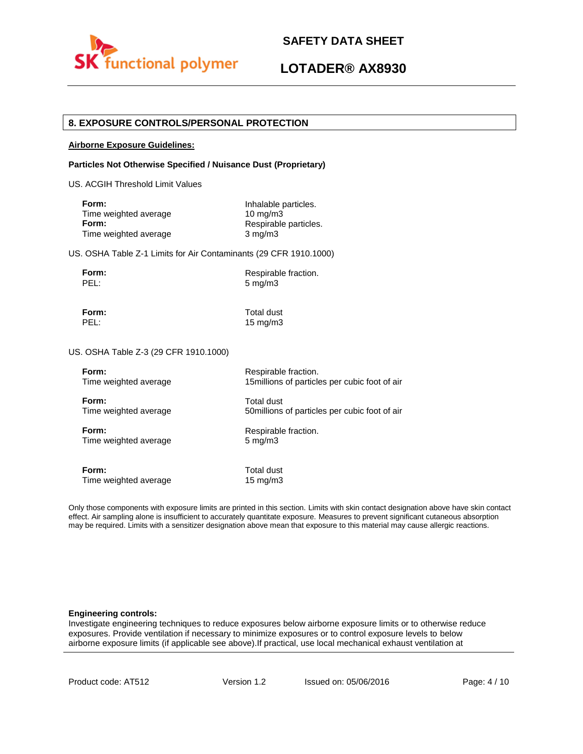

## **LOTADER® AX8930**

## **8. EXPOSURE CONTROLS/PERSONAL PROTECTION**

## **Airborne Exposure Guidelines:**

## **Particles Not Otherwise Specified / Nuisance Dust (Proprietary)**

US. ACGIH Threshold Limit Values

| Inhalable particles.  |
|-----------------------|
| $10 \text{ ma/m}$ 3   |
| Respirable particles. |
| $3 \text{ mg/m}$      |
|                       |

US. OSHA Table Z-1 Limits for Air Contaminants (29 CFR 1910.1000)

**Form:** Respirable fraction.<br> **PEL:** 5 mg/m3 5 mg/m3

**Form:** Total dust

PEL: 15 mg/m3

US. OSHA Table Z-3 (29 CFR 1910.1000)

| Form:                 | Respirable fraction.                           |
|-----------------------|------------------------------------------------|
| Time weighted average | 15 millions of particles per cubic foot of air |
| Form:                 | Total dust                                     |
| Time weighted average | 50 millions of particles per cubic foot of air |
| Form:                 | Respirable fraction.                           |
| Time weighted average | $5 \text{ mg/m}$                               |
| Form:                 | Total dust                                     |
| Time weighted average | $15 \text{ mg/m}$                              |

Only those components with exposure limits are printed in this section. Limits with skin contact designation above have skin contact effect. Air sampling alone is insufficient to accurately quantitate exposure. Measures to prevent significant cutaneous absorption may be required. Limits with a sensitizer designation above mean that exposure to this material may cause allergic reactions.

## **Engineering controls:**

Investigate engineering techniques to reduce exposures below airborne exposure limits or to otherwise reduce exposures. Provide ventilation if necessary to minimize exposures or to control exposure levels to below airborne exposure limits (if applicable see above).If practical, use local mechanical exhaust ventilation at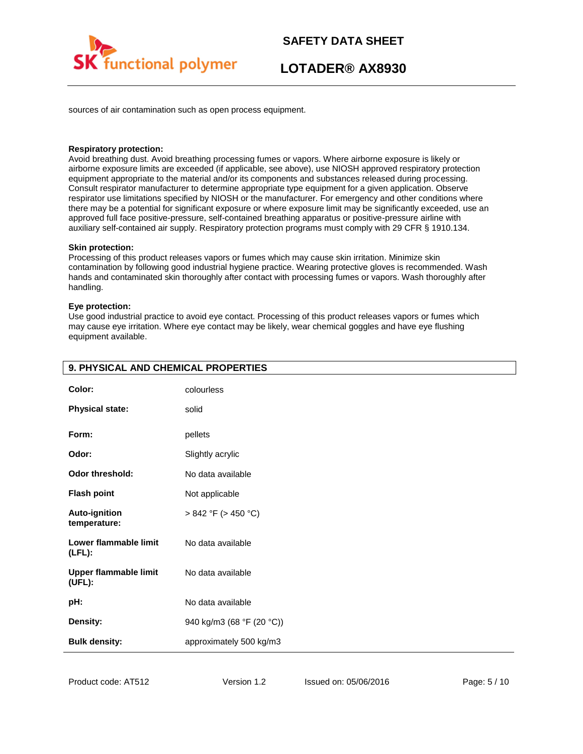

## **LOTADER® AX8930**

sources of air contamination such as open process equipment.

## **Respiratory protection:**

Avoid breathing dust. Avoid breathing processing fumes or vapors. Where airborne exposure is likely or airborne exposure limits are exceeded (if applicable, see above), use NIOSH approved respiratory protection equipment appropriate to the material and/or its components and substances released during processing. Consult respirator manufacturer to determine appropriate type equipment for a given application. Observe respirator use limitations specified by NIOSH or the manufacturer. For emergency and other conditions where there may be a potential for significant exposure or where exposure limit may be significantly exceeded, use an approved full face positive-pressure, self-contained breathing apparatus or positive-pressure airline with auxiliary self-contained air supply. Respiratory protection programs must comply with 29 CFR § 1910.134.

#### **Skin protection:**

Processing of this product releases vapors or fumes which may cause skin irritation. Minimize skin contamination by following good industrial hygiene practice. Wearing protective gloves is recommended. Wash hands and contaminated skin thoroughly after contact with processing fumes or vapors. Wash thoroughly after handling.

#### **Eye protection:**

Use good industrial practice to avoid eye contact. Processing of this product releases vapors or fumes which may cause eye irritation. Where eye contact may be likely, wear chemical goggles and have eye flushing equipment available.

| 9. PHYSICAL AND CHEMICAL PROPERTIES    |                           |
|----------------------------------------|---------------------------|
| Color:                                 | colourless                |
| <b>Physical state:</b>                 | solid                     |
| Form:                                  | pellets                   |
| Odor:                                  | Slightly acrylic          |
| Odor threshold:                        | No data available         |
| <b>Flash point</b>                     | Not applicable            |
| <b>Auto-ignition</b><br>temperature:   | $> 842$ °F ( $> 450$ °C)  |
| Lower flammable limit<br>$(LFL)$ :     | No data available         |
| <b>Upper flammable limit</b><br>(UEL): | No data available         |
| pH:                                    | No data available         |
| Density:                               | 940 kg/m3 (68 °F (20 °C)) |
| <b>Bulk density:</b>                   | approximately 500 kg/m3   |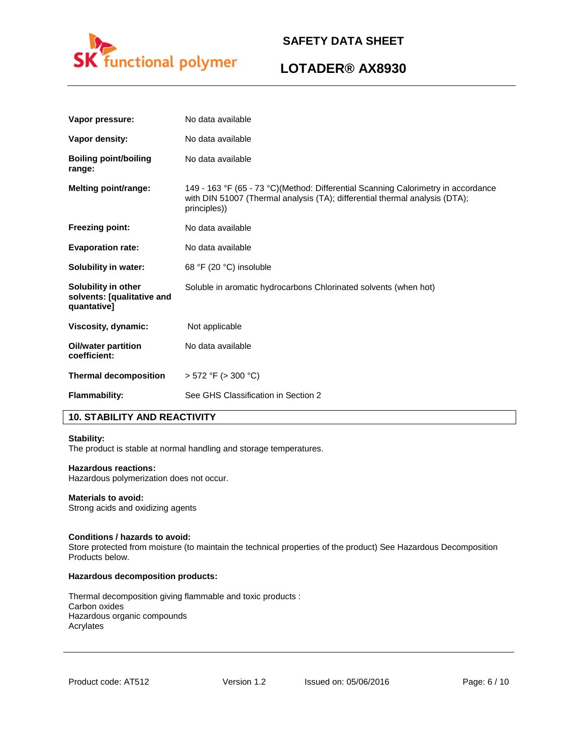

## **LOTADER® AX8930**

| Vapor pressure:                                                  | No data available                                                                                                                                                                |
|------------------------------------------------------------------|----------------------------------------------------------------------------------------------------------------------------------------------------------------------------------|
| Vapor density:                                                   | No data available                                                                                                                                                                |
| <b>Boiling point/boiling</b><br>range:                           | No data available                                                                                                                                                                |
| <b>Melting point/range:</b>                                      | 149 - 163 °F (65 - 73 °C)(Method: Differential Scanning Calorimetry in accordance<br>with DIN 51007 (Thermal analysis (TA); differential thermal analysis (DTA);<br>principles)) |
| <b>Freezing point:</b>                                           | No data available                                                                                                                                                                |
| <b>Evaporation rate:</b>                                         | No data available                                                                                                                                                                |
| Solubility in water:                                             | 68 °F (20 °C) insoluble                                                                                                                                                          |
| Solubility in other<br>solvents: [qualitative and<br>quantative] | Soluble in aromatic hydrocarbons Chlorinated solvents (when hot)                                                                                                                 |
| Viscosity, dynamic:                                              | Not applicable                                                                                                                                                                   |
| <b>Oil/water partition</b><br>coefficient:                       | No data available                                                                                                                                                                |
| <b>Thermal decomposition</b>                                     | $>$ 572 °F ( $>$ 300 °C)                                                                                                                                                         |
| <b>Flammability:</b>                                             | See GHS Classification in Section 2                                                                                                                                              |

## **10. STABILITY AND REACTIVITY**

## **Stability:**

The product is stable at normal handling and storage temperatures.

## **Hazardous reactions:**

Hazardous polymerization does not occur.

## **Materials to avoid:**

Strong acids and oxidizing agents

## **Conditions / hazards to avoid:**

Store protected from moisture (to maintain the technical properties of the product) See Hazardous Decomposition Products below.

## **Hazardous decomposition products:**

Thermal decomposition giving flammable and toxic products : Carbon oxides Hazardous organic compounds Acrylates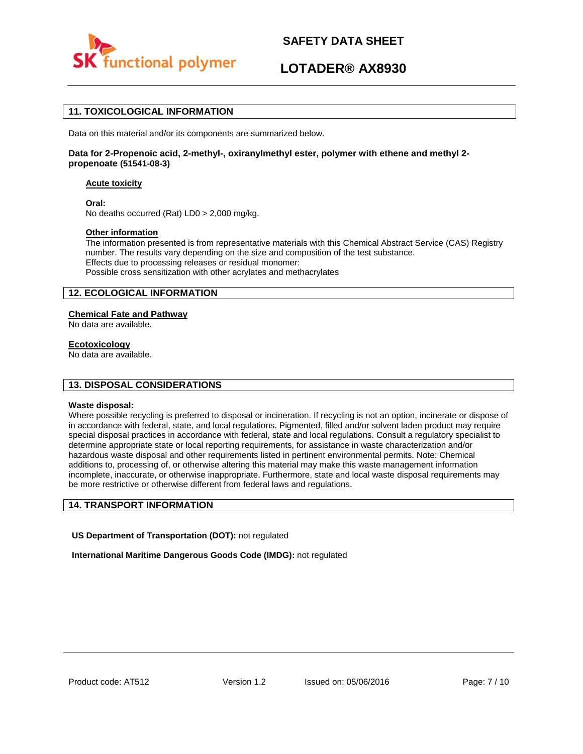

## **LOTADER® AX8930**

## **11. TOXICOLOGICAL INFORMATION**

Data on this material and/or its components are summarized below.

## **Data for 2-Propenoic acid, 2-methyl-, oxiranylmethyl ester, polymer with ethene and methyl 2 propenoate (51541-08-3)**

## **Acute toxicity**

**Oral:**

No deaths occurred (Rat) LD0 > 2,000 mg/kg.

## **Other information**

The information presented is from representative materials with this Chemical Abstract Service (CAS) Registry number. The results vary depending on the size and composition of the test substance. Effects due to processing releases or residual monomer: Possible cross sensitization with other acrylates and methacrylates

## **12. ECOLOGICAL INFORMATION**

## **Chemical Fate and Pathway**

No data are available.

## **Ecotoxicology**

No data are available.

## **13. DISPOSAL CONSIDERATIONS**

## **Waste disposal:**

Where possible recycling is preferred to disposal or incineration. If recycling is not an option, incinerate or dispose of in accordance with federal, state, and local regulations. Pigmented, filled and/or solvent laden product may require special disposal practices in accordance with federal, state and local regulations. Consult a regulatory specialist to determine appropriate state or local reporting requirements, for assistance in waste characterization and/or hazardous waste disposal and other requirements listed in pertinent environmental permits. Note: Chemical additions to, processing of, or otherwise altering this material may make this waste management information incomplete, inaccurate, or otherwise inappropriate. Furthermore, state and local waste disposal requirements may be more restrictive or otherwise different from federal laws and regulations.

## **14. TRANSPORT INFORMATION**

**US Department of Transportation (DOT):** not regulated

**International Maritime Dangerous Goods Code (IMDG):** not regulated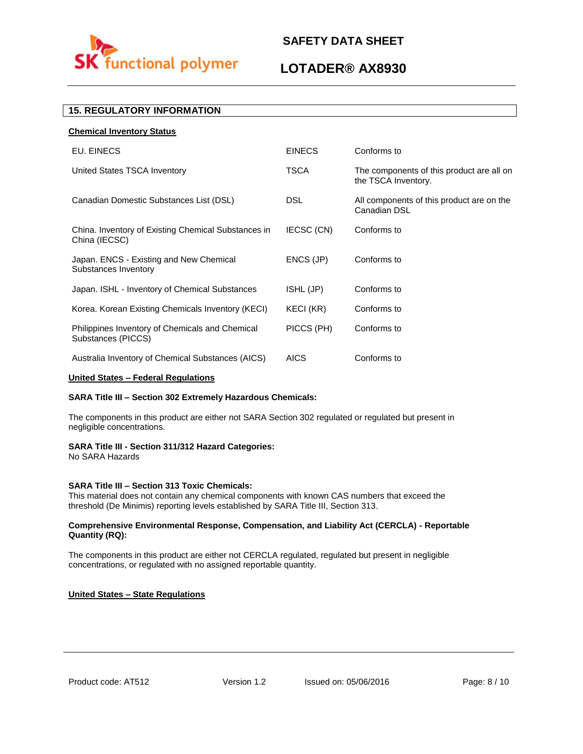# functional polymer

## **SAFETY DATA SHEET**

## **LOTADER® AX8930**

## **15. REGULATORY INFORMATION**

| <b>Chemical Inventory Status</b>                                      |               |                                                                  |
|-----------------------------------------------------------------------|---------------|------------------------------------------------------------------|
| EU. EINECS                                                            | <b>EINECS</b> | Conforms to                                                      |
| United States TSCA Inventory                                          | <b>TSCA</b>   | The components of this product are all on<br>the TSCA Inventory. |
| Canadian Domestic Substances List (DSL)                               | <b>DSL</b>    | All components of this product are on the<br>Canadian DSL        |
| China. Inventory of Existing Chemical Substances in<br>China (IECSC)  | IECSC (CN)    | Conforms to                                                      |
| Japan. ENCS - Existing and New Chemical<br>Substances Inventory       | ENCS (JP)     | Conforms to                                                      |
| Japan. ISHL - Inventory of Chemical Substances                        | ISHL (JP)     | Conforms to                                                      |
| Korea. Korean Existing Chemicals Inventory (KECI)                     | KECI (KR)     | Conforms to                                                      |
| Philippines Inventory of Chemicals and Chemical<br>Substances (PICCS) | PICCS (PH)    | Conforms to                                                      |
| Australia Inventory of Chemical Substances (AICS)                     | <b>AICS</b>   | Conforms to                                                      |

## **United States – Federal Regulations**

## **SARA Title III – Section 302 Extremely Hazardous Chemicals:**

The components in this product are either not SARA Section 302 regulated or regulated but present in negligible concentrations.

## **SARA Title III - Section 311/312 Hazard Categories:**

No SARA Hazards

## **SARA Title III – Section 313 Toxic Chemicals:**

This material does not contain any chemical components with known CAS numbers that exceed the threshold (De Minimis) reporting levels established by SARA Title III, Section 313.

## **Comprehensive Environmental Response, Compensation, and Liability Act (CERCLA) - Reportable Quantity (RQ):**

The components in this product are either not CERCLA regulated, regulated but present in negligible concentrations, or regulated with no assigned reportable quantity.

## **United States – State Regulations**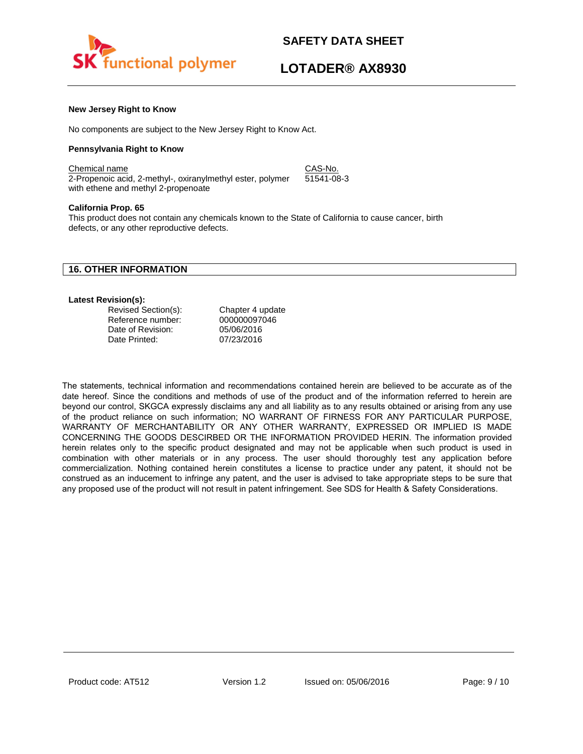

## **LOTADER® AX8930**

## **New Jersey Right to Know**

No components are subject to the New Jersey Right to Know Act.

## **Pennsylvania Right to Know**

Chemical name CAS-No. 2-Propenoic acid, 2-methyl-, oxiranylmethyl ester, polymer with ethene and methyl 2-propenoate

# 51541-08-3

## **California Prop. 65**

This product does not contain any chemicals known to the State of California to cause cancer, birth defects, or any other reproductive defects.

## **16. OTHER INFORMATION**

#### **Latest Revision(s):**

| Chapter 4 update |
|------------------|
| 000000097046     |
| 05/06/2016       |
| 07/23/2016       |
|                  |

The statements, technical information and recommendations contained herein are believed to be accurate as of the date hereof. Since the conditions and methods of use of the product and of the information referred to herein are beyond our control, SKGCA expressly disclaims any and all liability as to any results obtained or arising from any use of the product reliance on such information; NO WARRANT OF FIRNESS FOR ANY PARTICULAR PURPOSE, WARRANTY OF MERCHANTABILITY OR ANY OTHER WARRANTY, EXPRESSED OR IMPLIED IS MADE CONCERNING THE GOODS DESCIRBED OR THE INFORMATION PROVIDED HERIN. The information provided herein relates only to the specific product designated and may not be applicable when such product is used in combination with other materials or in any process. The user should thoroughly test any application before commercialization. Nothing contained herein constitutes a license to practice under any patent, it should not be construed as an inducement to infringe any patent, and the user is advised to take appropriate steps to be sure that any proposed use of the product will not result in patent infringement. See SDS for Health & Safety Considerations.